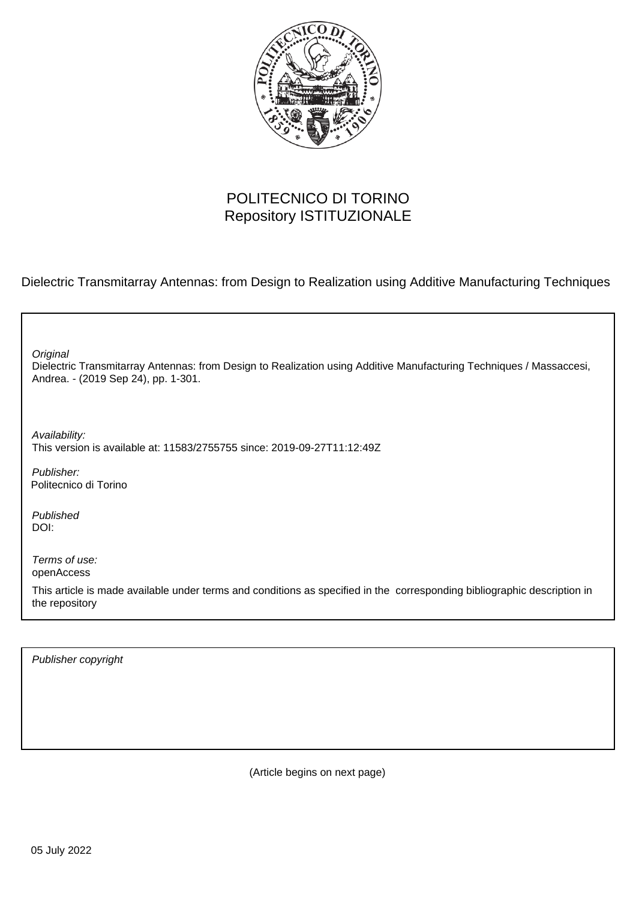

## POLITECNICO DI TORINO Repository ISTITUZIONALE

Dielectric Transmitarray Antennas: from Design to Realization using Additive Manufacturing Techniques

٦

| Original<br>Dielectric Transmitarray Antennas: from Design to Realization using Additive Manufacturing Techniques / Massaccesi,<br>Andrea. - (2019 Sep 24), pp. 1-301. |
|------------------------------------------------------------------------------------------------------------------------------------------------------------------------|
| Availability:<br>This version is available at: 11583/2755755 since: 2019-09-27T11:12:49Z                                                                               |
| Publisher:<br>Politecnico di Torino                                                                                                                                    |
| Published<br>DOI:                                                                                                                                                      |
| Terms of use:<br>openAccess                                                                                                                                            |
| This article is made available under terms and conditions as specified in the corresponding bibliographic description in<br>the repository                             |
|                                                                                                                                                                        |

Publisher copyright

(Article begins on next page)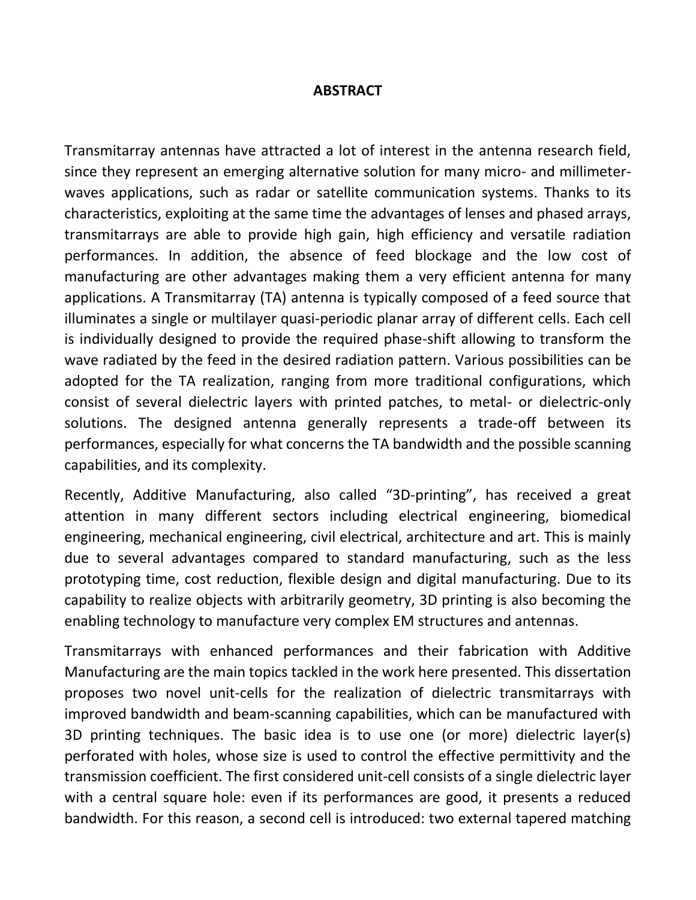## **ABSTRACT**

Transmitarray antennas have attracted a lot of interest in the antenna research field, since they represent an emerging alternative solution for many micro- and millimeterwaves applications, such as radar or satellite communication systems. Thanks to its characteristics, exploiting at the same time the advantages of lenses and phased arrays, transmitarrays are able to provide high gain, high efficiency and versatile radiation performances. In addition, the absence of feed blockage and the low cost of manufacturing are other advantages making them a very efficient antenna for many applications. A Transmitarray (TA) antenna is typically composed of a feed source that illuminates a single or multilayer quasi-periodic planar array of different cells. Each cell is individually designed to provide the required phase-shift allowing to transform the wave radiated by the feed in the desired radiation pattern. Various possibilities can be adopted for the TA realization, ranging from more traditional configurations, which consist of several dielectric layers with printed patches, to metal- or dielectric-only solutions. The designed antenna generally represents a trade-off between its performances, especially for what concerns the TA bandwidth and the possible scanning capabilities, and its complexity.

Recently, Additive Manufacturing, also called "3D-printing", has received a great attention in many different sectors including electrical engineering, biomedical engineering, mechanical engineering, civil electrical, architecture and art. This is mainly due to several advantages compared to standard manufacturing, such as the less prototyping time, cost reduction, flexible design and digital manufacturing. Due to its capability to realize objects with arbitrarily geometry, 3D printing is also becoming the enabling technology to manufacture very complex EM structures and antennas.

Transmitarrays with enhanced performances and their fabrication with Additive Manufacturing are the main topics tackled in the work here presented. This dissertation proposes two novel unit-cells for the realization of dielectric transmitarrays with improved bandwidth and beam-scanning capabilities, which can be manufactured with 3D printing techniques. The basic idea is to use one (or more) dielectric layer(s) perforated with holes, whose size is used to control the effective permittivity and the transmission coefficient. The first considered unit-cell consists of a single dielectric layer with a central square hole: even if its performances are good, it presents a reduced bandwidth. For this reason, a second cell is introduced: two external tapered matching